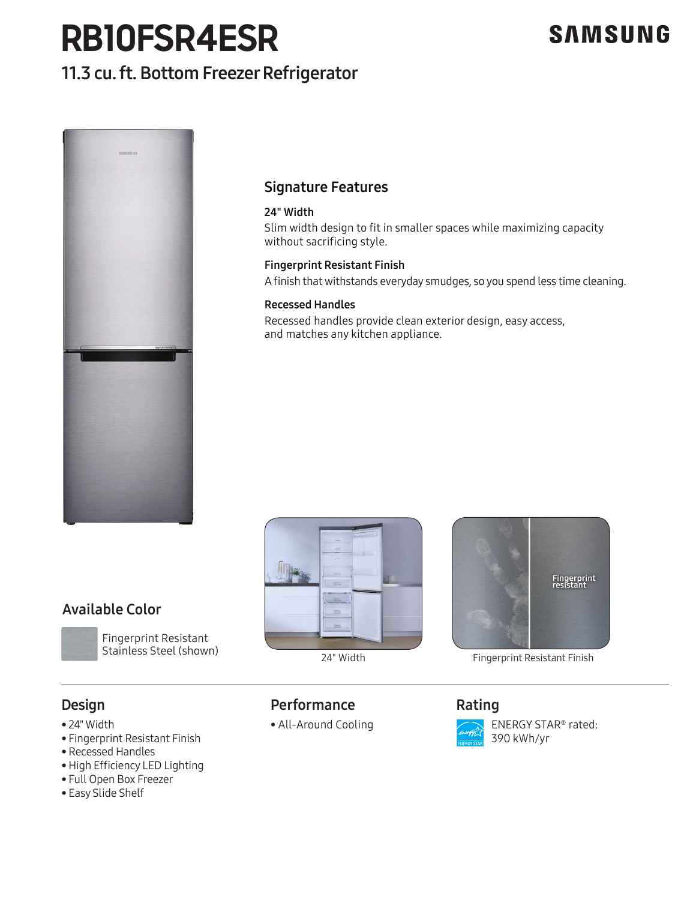## **RB10FSR4ESR**

### 11.3 cu. ft. Bottom Freezer Refrigerator





### Signature Features

### 24" Width

Slim width design to fit in smaller spaces while maximizing capacity without sacrificing style.

### Fingerprint Resistant Finish

A finish that withstands everyday smudges, so you spend less time cleaning.

### Recessed Handles

Recessed handles provide clean exterior design, easy access, and matches any kitchen appliance.



24" Width



Fingerprint Resistant Finish

### Design

- 24" Width
- Fingerprint Resistant Finish

Stainless Steel (shown)

• Recessed Handles

Available Color

- High Efficiency LED Lighting
- Full Open Box Freezer
- Easy Slide Shelf

### **Performance**

• All-Around Cooling<br>''sistant Finish<br>''

### Rating



 ENERGY STAR® rated: 390 kWh/yr